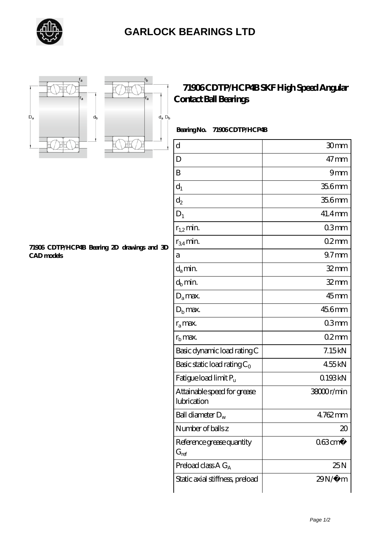





## **[71906 CDTP/HCP4B SKF High Speed Angular](https://letterstopriests.com/skf-bearing/71906-cdtp-hcp4b.html) [Contact Ball Bearings](https://letterstopriests.com/skf-bearing/71906-cdtp-hcp4b.html)**

 **Bearing No. 71906 CDTP/HCP4B**

| $\mathbf d$                                | 30mm                  |
|--------------------------------------------|-----------------------|
| D                                          | $47 \text{mm}$        |
| B                                          | 9mm                   |
| $d_1$                                      | 35.6mm                |
| $\mathrm{d}_2$                             | 35.6mm                |
| $D_1$                                      | $41.4$ mm             |
| $r_{1,2}$ min.                             | 03mm                  |
| $r_{34}$ min.                              | 02mm                  |
| a                                          | $97 \text{mm}$        |
| $d_{a}$ min.                               | $32$ mm               |
| $d_h$ min.                                 | $32$ mm               |
| $D_a$ max.                                 | $45$ mm               |
| $Db$ max.                                  | 456mm                 |
| $r_a$ max.                                 | 03mm                  |
| $rb$ max.                                  | 02mm                  |
| Basic dynamic load rating C                | 7.15kN                |
| Basic static load rating $C_0$             | 455kN                 |
| Fatigue load limit $P_u$                   | 0.193kN               |
| Attainable speed for grease<br>lubrication | 38000r/min            |
| Ball diameter $D_w$                        | 4762mm                |
| Number of balls z                          | 20                    |
| Reference grease quantity<br>$G_{ref}$     | $063$ cm <sup>3</sup> |
| Preload class $A G_A$                      | 25N                   |
| Static axial stiffness, preload            | 29N/μ m               |

**[71906 CDTP/HCP4B Bearing 2D drawings and 3D](https://letterstopriests.com/pic-935024.html) [CAD models](https://letterstopriests.com/pic-935024.html)**